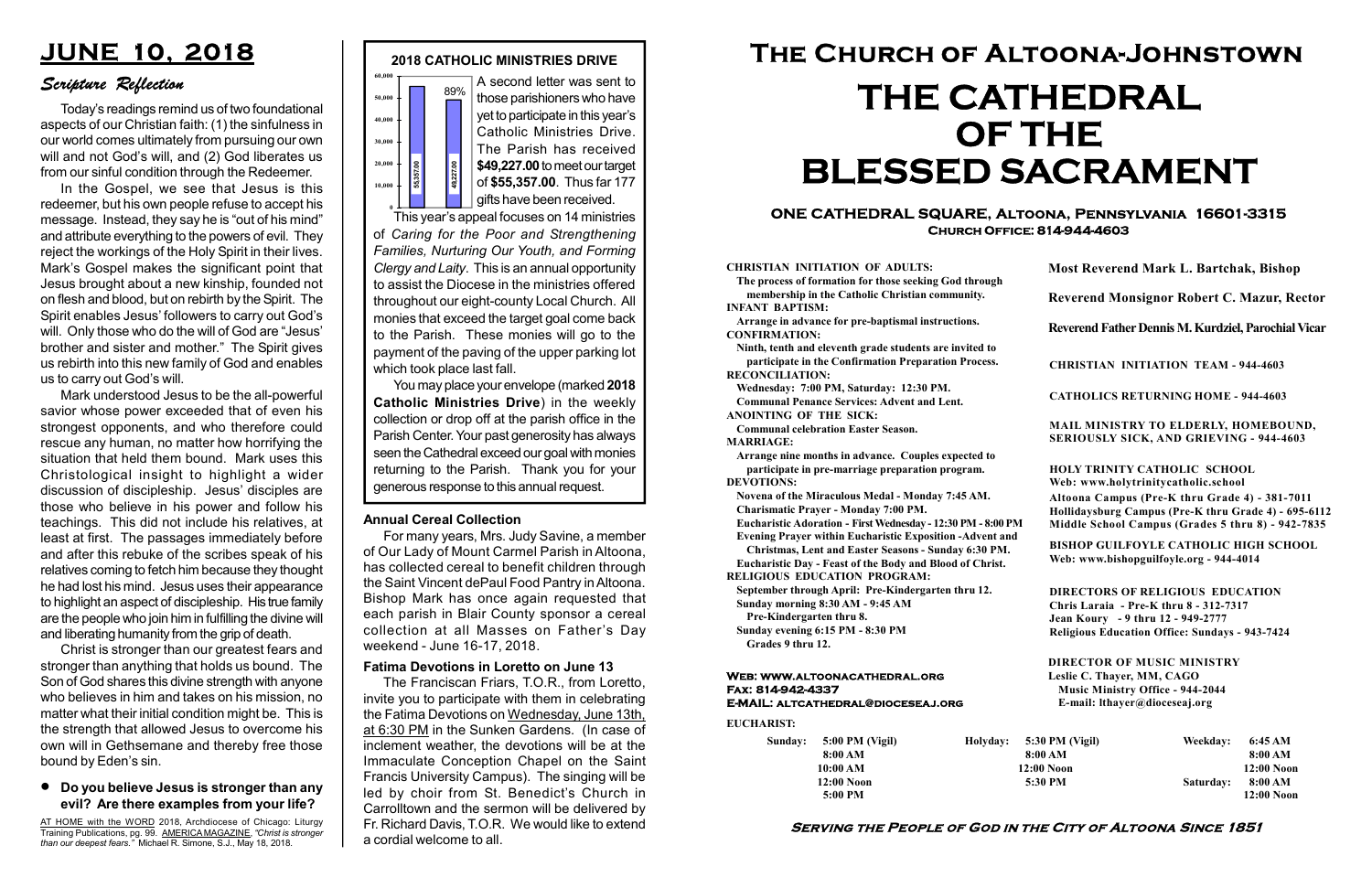#### Serving the People of God in the City of Altoona Since 1851

Sunday: 5:00 PM (Vigil) 8:00 AM 10:00 AM 12:00 Noon 5:00 PM

Holyday:

#### Web: www.altoonacathedral.org Fax: 814-942-4337 E-MAIL: altcathedral@dioceseaj.org

EUCHARIST:

#### CHRISTIAN INITIATION OF ADULTS:

The process of formation for those seeking God through membership in the Catholic Christian community. INFANT BAPTISM:

Arrange in advance for pre-baptismal instructions. CONFIRMATION:

Ninth, tenth and eleventh grade students are invited to participate in the Confirmation Preparation Process. RECONCILIATION:

Wednesday: 7:00 PM, Saturday: 12:30 PM. Communal Penance Services: Advent and Lent. ANOINTING OF THE SICK:

Communal celebration Easter Season. MARRIAGE:

Arrange nine months in advance. Couples expected to participate in pre-marriage preparation program. DEVOTIONS:

Novena of the Miraculous Medal - Monday 7:45 AM. Charismatic Prayer - Monday 7:00 PM.

Eucharistic Adoration - First Wednesday - 12:30 PM - 8:00 PM

Evening Prayer within Eucharistic Exposition -Advent and

Christmas, Lent and Easter Seasons - Sunday 6:30 PM. Eucharistic Day - Feast of the Body and Blood of Christ.

|                       | <b>Most Reverend Mark L. Bartchak, Bishop</b><br>Reverend Monsignor Robert C. Mazur, Rector                                                                                     |           |                         |
|-----------------------|---------------------------------------------------------------------------------------------------------------------------------------------------------------------------------|-----------|-------------------------|
|                       |                                                                                                                                                                                 |           |                         |
|                       | Reverend Father Dennis M. Kurdziel, Parochial Vicar                                                                                                                             |           |                         |
|                       | <b>CHRISTIAN INITIATION TEAM - 944-4603</b>                                                                                                                                     |           |                         |
|                       | <b>CATHOLICS RETURNING HOME - 944-4603</b>                                                                                                                                      |           |                         |
|                       | MAIL MINISTRY TO ELDERLY, HOMEBOUND,<br>SERIOUSLY SICK, AND GRIEVING - 944-4603                                                                                                 |           |                         |
|                       | <b>HOLY TRINITY CATHOLIC SCHOOL</b><br>Web: www.holytrinitycatholic.school                                                                                                      |           |                         |
| М                     | Altoona Campus (Pre-K thru Grade 4) - 381-7011<br>Hollidaysburg Campus (Pre-K thru Grade 4) - 695-6112<br>Middle School Campus (Grades 5 thru 8) - 942-7835                     |           |                         |
| ł                     | <b>BISHOP GUILFOYLE CATHOLIC HIGH SCHOOL</b><br>Web: www.bishopguilfoyle.org - 944-4014                                                                                         |           |                         |
|                       | <b>DIRECTORS OF RELIGIOUS EDUCATION</b><br>Chris Laraia - Pre-K thru 8 - 312-7317<br>Jean Koury - 9 thru 12 - 949-2777<br><b>Religious Education Office: Sundays - 943-7424</b> |           |                         |
|                       | <b>DIRECTOR OF MUSIC MINISTRY</b><br>Leslie C. Thayer, MM, CAGO<br><b>Music Ministry Office - 944-2044</b><br>E-mail: lthayer@dioceseaj.org                                     |           |                         |
| 5:30 PM (Vigil)       |                                                                                                                                                                                 | Weekday:  | 6:45 AM                 |
| 8:00 AM<br>12:00 Noon |                                                                                                                                                                                 |           | 8:00 AM<br>12:00 Noon   |
| 5:30 PM               |                                                                                                                                                                                 | Saturday: | 8:00 AM<br>$12:00$ Noon |
|                       |                                                                                                                                                                                 |           |                         |

RELIGIOUS EDUCATION PROGRAM:



September through April: Pre-Kindergarten thru 12. Sunday morning 8:30 AM - 9:45 AM

Pre-Kindergarten thru 8.

Sunday evening 6:15 PM - 8:30 PM Grades 9 thru 12.

#### ONE CATHEDRAL SQUARE, Altoona, Pennsylvania 16601-3315 Church Office: 814-944-4603

# The Church of Altoona-Johnstown THE CATHEDRAL OF THE BLESSED SACRAMENT

those parishioners who have yet to participate in this year's Catholic Ministries Drive. The Parish has received \$49,227.00 to meet our target of \$55,357.00. Thus far 177 gifts have been received.

This year's appeal focuses on 14 ministries of Caring for the Poor and Strengthening Families, Nurturing Our Youth, and Forming Clergy and Laity. This is an annual opportunity to assist the Diocese in the ministries offered throughout our eight-county Local Church. All monies that exceed the target goal come back to the Parish. These monies will go to the payment of the paving of the upper parking lot which took place last fall. generous response to this annual request. 55,357.00 49,227.00

You may place your envelope (marked 2018 Catholic Ministries Drive) in the weekly collection or drop off at the parish office in the Parish Center. Your past generosity has always seen the Cathedral exceed our goal with monies returning to the Parish. Thank you for your

#### Annual Cereal Collection

For many years, Mrs. Judy Savine, a member of Our Lady of Mount Carmel Parish in Altoona, has collected cereal to benefit children through the Saint Vincent dePaul Food Pantry in Altoona. Bishop Mark has once again requested that each parish in Blair County sponsor a cereal collection at all Masses on Father's Day weekend - June 16-17, 2018.

#### Fatima Devotions in Loretto on June 13

 The Franciscan Friars, T.O.R., from Loretto, invite you to participate with them in celebrating the Fatima Devotions on Wednesday, June 13th, at 6:30 PM in the Sunken Gardens. (In case of inclement weather, the devotions will be at the Immaculate Conception Chapel on the Saint Francis University Campus). The singing will be led by choir from St. Benedict's Church in Carrolltown and the sermon will be delivered by Fr. Richard Davis, T.O.R. We would like to extend a cordial welcome to all.

## JUNE 10, 2018

#### Scripture Reflection

#### Do you believe Jesus is stronger than any evil? Are there examples from your life?

Today's readings remind us of two foundational aspects of our Christian faith: (1) the sinfulness in our world comes ultimately from pursuing our own will and not God's will, and (2) God liberates us from our sinful condition through the Redeemer.

In the Gospel, we see that Jesus is this redeemer, but his own people refuse to accept his message. Instead, they say he is "out of his mind" and attribute everything to the powers of evil. They reject the workings of the Holy Spirit in their lives. Mark's Gospel makes the significant point that Jesus brought about a new kinship, founded not on flesh and blood, but on rebirth by the Spirit. The Spirit enables Jesus' followers to carry out God's will. Only those who do the will of God are "Jesus' brother and sister and mother." The Spirit gives us rebirth into this new family of God and enables us to carry out God's will.

Mark understood Jesus to be the all-powerful savior whose power exceeded that of even his strongest opponents, and who therefore could rescue any human, no matter how horrifying the situation that held them bound. Mark uses this Christological insight to highlight a wider discussion of discipleship. Jesus' disciples are those who believe in his power and follow his teachings. This did not include his relatives, at least at first. The passages immediately before and after this rebuke of the scribes speak of his relatives coming to fetch him because they thought he had lost his mind. Jesus uses their appearance to highlight an aspect of discipleship. His true family are the people who join him in fulfilling the divine will and liberating humanity from the grip of death.

Christ is stronger than our greatest fears and stronger than anything that holds us bound. The Son of God shares this divine strength with anyone who believes in him and takes on his mission, no matter what their initial condition might be. This is the strength that allowed Jesus to overcome his own will in Gethsemane and thereby free those bound by Eden's sin.

AT HOME with the WORD 2018, Archdiocese of Chicago: Liturgy Training Publications, pg. 99. AMERICA MAGAZINE, "Christ is stronger than our deepest fears." Michael R. Simone, S.J., May 18, 2018.